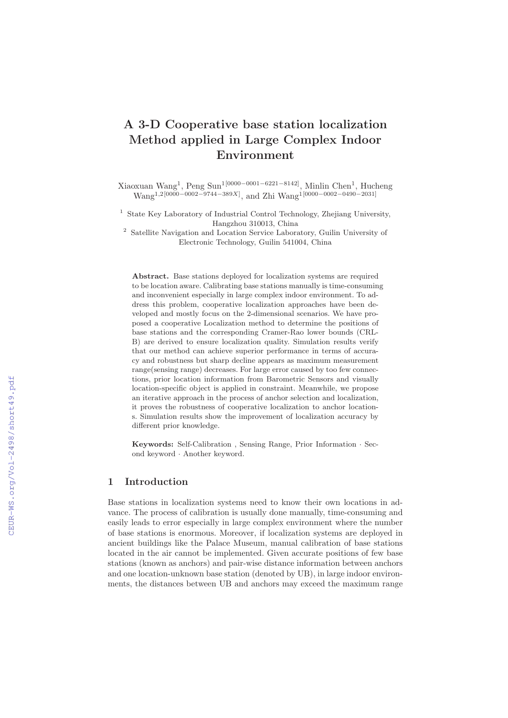# **A 3-D Cooperative base station localization Method applied in Large Complex Indoor Environment**

Xiaoxuan Wang1, Peng Sun1[0000−0001−6221−8142], Minlin Chen1, Hucheng Wang<sup>1,2[0000–0002–9744–389X]</sup>, and Zhi Wang<sup>1</sup><sup>[0000–0002–0490–2031]</sup>

<sup>1</sup> State Key Laboratory of Industrial Control Technology, Zhejiang University, Hangzhou 310013, China

<sup>2</sup> Satellite Navigation and Location Service Laboratory, Guilin University of Electronic Technology, Guilin 541004, China

**Abstract.** Base stations deployed for localization systems are required to be location aware. Calibrating base stations manually is time-consuming and inconvenient especially in large complex indoor environment. To address this problem, cooperative localization approaches have been developed and mostly focus on the 2-dimensional scenarios. We have proposed a cooperative Localization method to determine the positions of base stations and the corresponding Cramer-Rao lower bounds (CRL-B) are derived to ensure localization quality. Simulation results verify that our method can achieve superior performance in terms of accuracy and robustness but sharp decline appears as maximum measurement range(sensing range) decreases. For large error caused by too few connections, prior location information from Barometric Sensors and visually location-specific object is applied in constraint. Meanwhile, we propose an iterative approach in the process of anchor selection and localization, it proves the robustness of cooperative localization to anchor locations. Simulation results show the improvement of localization accuracy by different prior knowledge.

**Keywords:** Self-Calibration , Sensing Range, Prior Information · Second keyword · Another keyword.

# **1 Introduction**

Base stations in localization systems need to know their own locations in advance. The process of calibration is usually done manually, time-consuming and easily leads to error especially in large complex environment where the number of base stations is enormous. Moreover, if localization systems are deployed in ancient buildings like the Palace Museum, manual calibration of base stations located in the air cannot be implemented. Given accurate positions of few base stations (known as anchors) and pair-wise distance information between anchors and one location-unknown base station (denoted by UB), in large indoor environments, the distances between UB and anchors may exceed the maximum range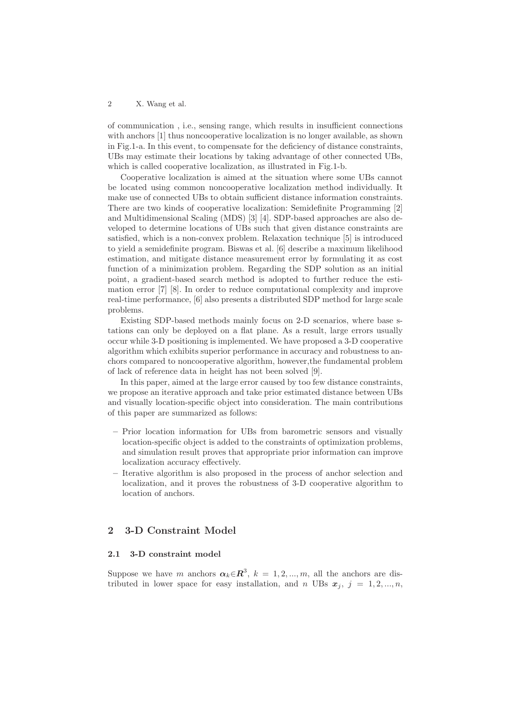of communication , i.e., sensing range, which results in insufficient connections with anchors [1] thus noncooperative localization is no longer available, as shown in Fig.1-a. In this event, to compensate for the deficiency of distance constraints, UBs may estimate their locations by taking advantage of other connected UBs, which is called cooperative localization, as illustrated in Fig.1-b.

Cooperative localization is aimed at the situation where some UBs cannot be located using common noncooperative localization method individually. It make use of connected UBs to obtain sufficient distance information constraints. There are two kinds of cooperative localization: Semidefinite Programming [2] and Multidimensional Scaling (MDS) [3] [4]. SDP-based approaches are also developed to determine locations of UBs such that given distance constraints are satisfied, which is a non-convex problem. Relaxation technique [5] is introduced to yield a semidefinite program. Biswas et al. [6] describe a maximum likelihood estimation, and mitigate distance measurement error by formulating it as cost function of a minimization problem. Regarding the SDP solution as an initial point, a gradient-based search method is adopted to further reduce the estimation error [7] [8]. In order to reduce computational complexity and improve real-time performance, [6] also presents a distributed SDP method for large scale problems.

Existing SDP-based methods mainly focus on 2-D scenarios, where base stations can only be deployed on a flat plane. As a result, large errors usually occur while 3-D positioning is implemented. We have proposed a 3-D cooperative algorithm which exhibits superior performance in accuracy and robustness to anchors compared to noncooperative algorithm, however,the fundamental problem of lack of reference data in height has not been solved [9].

In this paper, aimed at the large error caused by too few distance constraints, we propose an iterative approach and take prior estimated distance between UBs and visually location-specific object into consideration. The main contributions of this paper are summarized as follows:

- **–** Prior location information for UBs from barometric sensors and visually location-specific object is added to the constraints of optimization problems, and simulation result proves that appropriate prior information can improve localization accuracy effectively.
- **–** Iterative algorithm is also proposed in the process of anchor selection and localization, and it proves the robustness of 3-D cooperative algorithm to location of anchors.

# **2 3-D Constraint Model**

### **2.1 3-D constraint model**

Suppose we have m anchors  $\alpha_k \in \mathbb{R}^3$ ,  $k = 1, 2, ..., m$ , all the anchors are distributed in lower space for easy installation, and n UBs  $x_i$ ,  $j = 1, 2, ..., n$ ,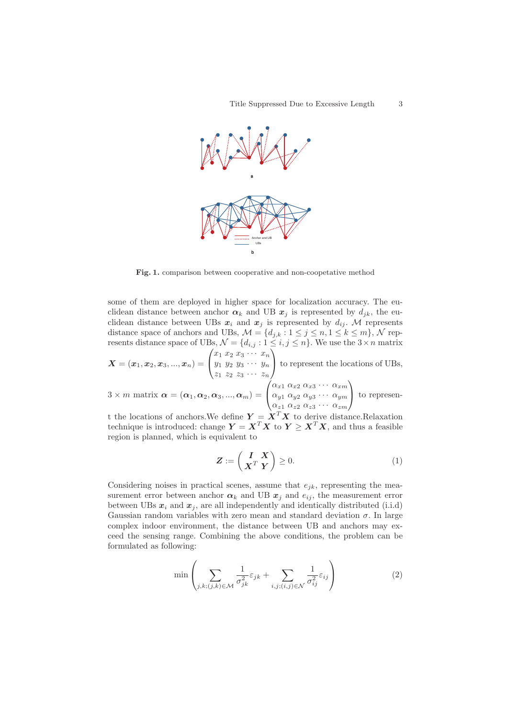

**Fig. 1.** comparison between cooperative and non-coopetative method

some of them are deployed in higher space for localization accuracy. The euclidean distance between anchor  $\alpha_k$  and UB  $x_j$  is represented by  $d_{ik}$ , the euclidean distance between UBs  $x_i$  and  $x_j$  is represented by  $d_{ij}$ . M represents distance space of anchors and UBs,  $\mathcal{M} = \{d_{j,k} : 1 \leq j \leq n, 1 \leq k \leq m\}$ ,  $\mathcal{N}$  represents distance space of UBs,  $\mathcal{N} = \{d_{i,j} : 1 \leq i,j \leq n\}$ . We use the  $3 \times n$  matrix  $\left\langle x_1 \; x_2 \; x_3 \; \cdots \; x_n \right\rangle$ 

$$
\boldsymbol{X} = (\boldsymbol{x}_1, \boldsymbol{x}_2, \boldsymbol{x}_3, ..., \boldsymbol{x}_n) = \begin{pmatrix} \frac{\omega_1}{y_1} \frac{\omega_2}{y_2} \frac{\omega_3}{y_3} \cdots \frac{\omega_n}{y_n} \\ z_1 \ z_2 \ z_3 \cdots \ z_n \end{pmatrix}
$$
 to represent the locations of UBs,  

$$
\begin{pmatrix} \alpha_{x1} \alpha_{x2} \alpha_{x3} \cdots \alpha_{xm} \end{pmatrix}
$$

3 × *m* matrix  $\boldsymbol{\alpha} = (\boldsymbol{\alpha}_1, \boldsymbol{\alpha}_2, \boldsymbol{\alpha}_3, ..., \boldsymbol{\alpha}_m)$  =  $\sqrt{2}$  $\alpha_{y1} \alpha_{y2} \alpha_{y3} \cdots \alpha_{ym}$  $\alpha_{z1} \ \alpha_{z2} \ \alpha_{z3} \ \cdots \ \alpha_{zm}$ <sup>⎠</sup> to represen-

t the locations of anchors. We define  $Y = X^T X$  to derive distance. Relaxation technique is introduced: change  $Y = X^T X$  to  $Y \geq X^T X$ , and thus a feasible region is planned, which is equivalent to

$$
\boldsymbol{Z} := \begin{pmatrix} \boldsymbol{I} & \boldsymbol{X} \\ \boldsymbol{X}^T & \boldsymbol{Y} \end{pmatrix} \geq 0.
$$
 (1)

Considering noises in practical scenes, assume that  $e_{ik}$ , representing the measurement error between anchor  $\alpha_k$  and UB  $x_j$  and  $e_{ij}$ , the measurement error between UBs  $x_i$  and  $x_j$ , are all independently and identically distributed (i.i.d) Gaussian random variables with zero mean and standard deviation  $\sigma$ . In large complex indoor environment, the distance between UB and anchors may exceed the sensing range. Combining the above conditions, the problem can be formulated as following:

$$
\min\left(\sum_{j,k;(j,k)\in\mathcal{M}}\frac{1}{\sigma_{jk}^2}\varepsilon_{jk} + \sum_{i,j;(i,j)\in\mathcal{N}}\frac{1}{\sigma_{ij}^2}\varepsilon_{ij}\right) \tag{2}
$$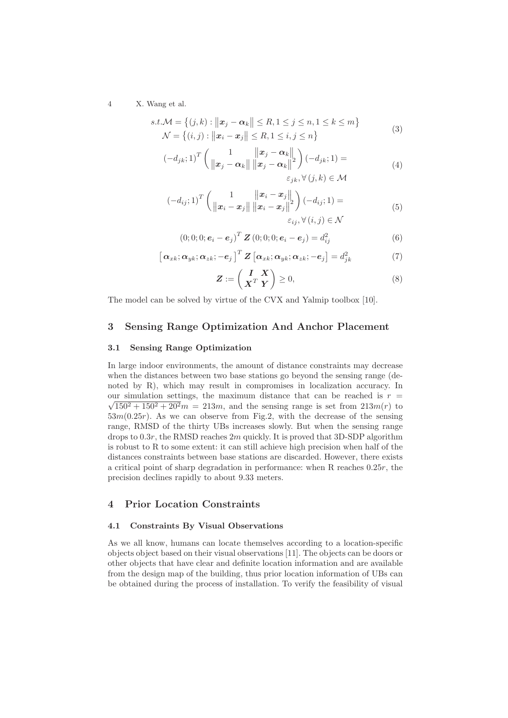$$
s.t. \mathcal{M} = \{(j,k) : ||\mathbf{x}_j - \mathbf{\alpha}_k|| \le R, 1 \le j \le n, 1 \le k \le m\}
$$
  

$$
\mathcal{N} = \{(i,j) : ||\mathbf{x}_i - \mathbf{x}_j|| \le R, 1 \le i, j \le n\}
$$
 (3)

$$
(-d_{jk}; 1)^T \left( \frac{1}{\|x_j - \alpha_k\|} \frac{\|x_j - \alpha_k\|}{\|x_j - \alpha_k\|} \right) (-d_{jk}; 1) =
$$
  

$$
\varepsilon_{jk}, \forall (j, k) \in \mathcal{M}
$$
 (4)

$$
(-d_{ij}; 1)^T \left(\frac{1}{\|\boldsymbol{x}_i - \boldsymbol{x}_j\|} \frac{\|\boldsymbol{x}_i - \boldsymbol{x}_j\|}{\|\boldsymbol{x}_i - \boldsymbol{x}_j\|} \right) (-d_{ij}; 1) = \newline \epsilon_{ij}, \forall (i, j) \in \mathcal{N}
$$
\n(5)

$$
(0;0;0;ei - ej)T Z (0;0;0; ei - ej) = dij2
$$
 (6)

$$
\left[\alpha_{xk};\alpha_{yk};\alpha_{zk};-e_j\right]^T \mathbf{Z} \left[\alpha_{xk};\alpha_{yk};\alpha_{zk};-e_j\right] = d_{jk}^2 \tag{7}
$$

$$
\boldsymbol{Z} := \begin{pmatrix} \boldsymbol{I} & \boldsymbol{X} \\ \boldsymbol{X}^T & \boldsymbol{Y} \end{pmatrix} \ge 0,
$$
\n(8)

The model can be solved by virtue of the CVX and Yalmip toolbox [10].

# **3 Sensing Range Optimization And Anchor Placement**

#### **3.1 Sensing Range Optimization**

In large indoor environments, the amount of distance constraints may decrease when the distances between two base stations go beyond the sensing range (denoted by R), which may result in compromises in localization accuracy. In our simulation settings, the maximum distance that can be reached is  $r =$  $\sqrt{150^2 + 150^2 + 20^2}m = 213m$ , and the sensing range is set from  $213m(r)$  to  $53m(0.25r)$ . As we can observe from Fig.2, with the decrease of the sensing range, RMSD of the thirty UBs increases slowly. But when the sensing range drops to  $0.3r$ , the RMSD reaches  $2m$  quickly. It is proved that 3D-SDP algorithm is robust to R to some extent: it can still achieve high precision when half of the distances constraints between base stations are discarded. However, there exists a critical point of sharp degradation in performance: when R reaches 0.25r, the precision declines rapidly to about 9.33 meters.

# **4 Prior Location Constraints**

### **4.1 Constraints By Visual Observations**

As we all know, humans can locate themselves according to a location-specific objects object based on their visual observations [11]. The objects can be doors or other objects that have clear and definite location information and are available from the design map of the building, thus prior location information of UBs can be obtained during the process of installation. To verify the feasibility of visual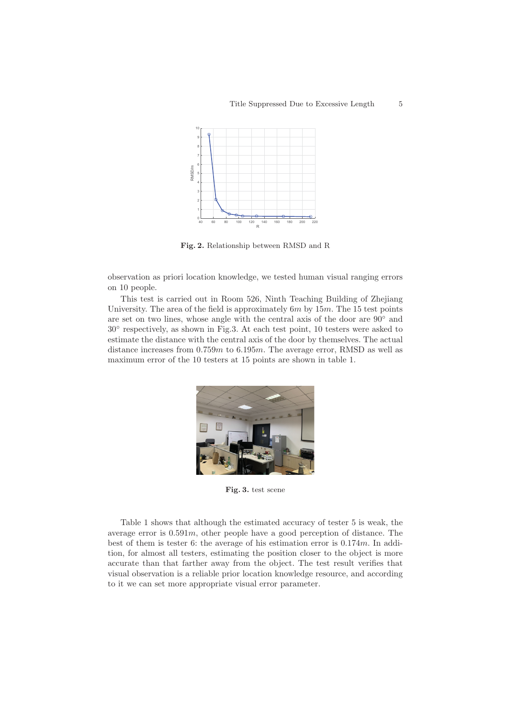

**Fig. 2.** Relationship between RMSD and R

observation as priori location knowledge, we tested human visual ranging errors on 10 people.

This test is carried out in Room 526, Ninth Teaching Building of Zhejiang University. The area of the field is approximately  $6m$  by  $15m$ . The 15 test points are set on two lines, whose angle with the central axis of the door are 90◦ and 30◦ respectively, as shown in Fig.3. At each test point, 10 testers were asked to estimate the distance with the central axis of the door by themselves. The actual distance increases from  $0.759m$  to  $6.195m$ . The average error, RMSD as well as maximum error of the 10 testers at 15 points are shown in table 1.



**Fig. 3.** test scene

Table 1 shows that although the estimated accuracy of tester 5 is weak, the average error is  $0.591m$ , other people have a good perception of distance. The best of them is tester 6: the average of his estimation error is 0.174m. In addition, for almost all testers, estimating the position closer to the object is more accurate than that farther away from the object. The test result verifies that visual observation is a reliable prior location knowledge resource, and according to it we can set more appropriate visual error parameter.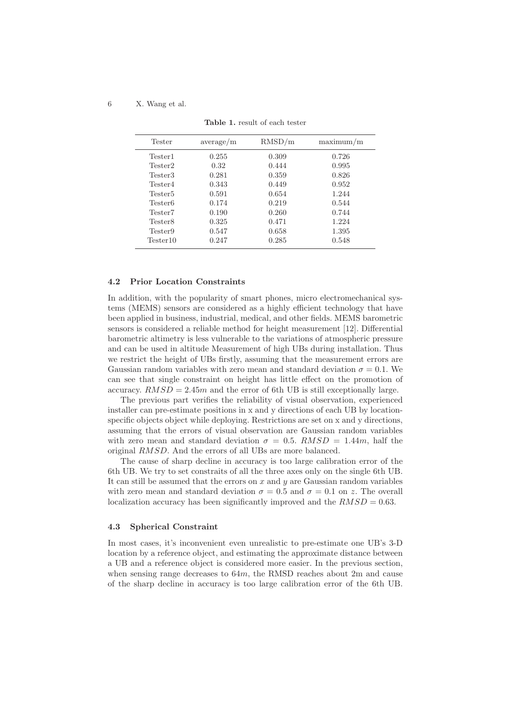| <b>Tester</b>       | average/m | RMSD/m | maximum/m |
|---------------------|-----------|--------|-----------|
| Tester1             | 0.255     | 0.309  | 0.726     |
| Tester2             | 0.32      | 0.444  | 0.995     |
| Tester3             | 0.281     | 0.359  | 0.826     |
| Tester4             | 0.343     | 0.449  | 0.952     |
| Tester <sub>5</sub> | 0.591     | 0.654  | 1.244     |
| Tester <sub>6</sub> | 0.174     | 0.219  | 0.544     |
| Tester7             | 0.190     | 0.260  | 0.744     |
| Tester8             | 0.325     | 0.471  | 1.224     |
| Tester9             | 0.547     | 0.658  | 1.395     |
| Tester10            | 0.247     | 0.285  | 0.548     |

**Table 1.** result of each tester

#### **4.2 Prior Location Constraints**

In addition, with the popularity of smart phones, micro electromechanical systems (MEMS) sensors are considered as a highly efficient technology that have been applied in business, industrial, medical, and other fields. MEMS barometric sensors is considered a reliable method for height measurement [12]. Differential barometric altimetry is less vulnerable to the variations of atmospheric pressure and can be used in altitude Measurement of high UBs during installation. Thus we restrict the height of UBs firstly, assuming that the measurement errors are Gaussian random variables with zero mean and standard deviation  $\sigma = 0.1$ . We can see that single constraint on height has little effect on the promotion of accuracy.  $RMSD = 2.45m$  and the error of 6th UB is still exceptionally large.

The previous part verifies the reliability of visual observation, experienced installer can pre-estimate positions in x and y directions of each UB by locationspecific objects object while deploying. Restrictions are set on x and y directions, assuming that the errors of visual observation are Gaussian random variables with zero mean and standard deviation  $\sigma = 0.5$ .  $RMSD = 1.44m$ , half the original RMSD. And the errors of all UBs are more balanced.

The cause of sharp decline in accuracy is too large calibration error of the 6th UB. We try to set constraits of all the three axes only on the single 6th UB. It can still be assumed that the errors on x and  $y$  are Gaussian random variables with zero mean and standard deviation  $\sigma = 0.5$  and  $\sigma = 0.1$  on z. The overall localization accuracy has been significantly improved and the  $RMSD = 0.63$ .

#### **4.3 Spherical Constraint**

In most cases, it's inconvenient even unrealistic to pre-estimate one UB's 3-D location by a reference object, and estimating the approximate distance between a UB and a reference object is considered more easier. In the previous section, when sensing range decreases to 64m, the RMSD reaches about 2m and cause of the sharp decline in accuracy is too large calibration error of the 6th UB.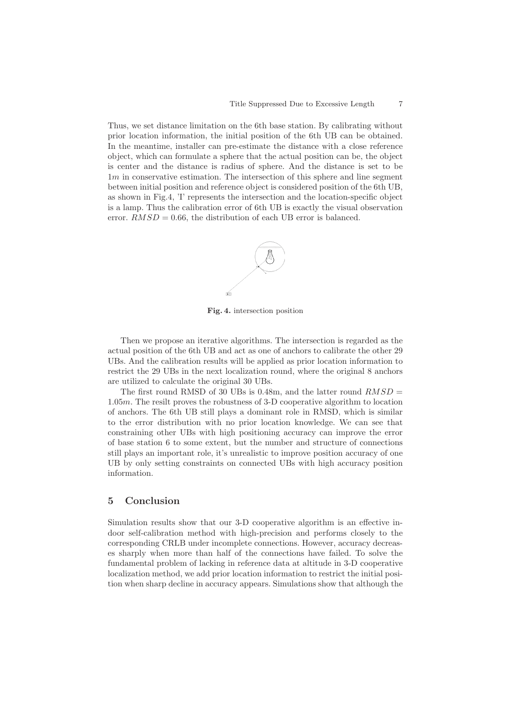Thus, we set distance limitation on the 6th base station. By calibrating without prior location information, the initial position of the 6th UB can be obtained. In the meantime, installer can pre-estimate the distance with a close reference object, which can formulate a sphere that the actual position can be, the object is center and the distance is radius of sphere. And the distance is set to be  $1m$  in conservative estimation. The intersection of this sphere and line segment between initial position and reference object is considered position of the 6th UB, as shown in Fig.4, 'I' represents the intersection and the location-specific object is a lamp. Thus the calibration error of 6th UB is exactly the visual observation error.  $RMSD = 0.66$ , the distribution of each UB error is balanced.



**Fig. 4.** intersection position

Then we propose an iterative algorithms. The intersection is regarded as the actual position of the 6th UB and act as one of anchors to calibrate the other 29 UBs. And the calibration results will be applied as prior location information to restrict the 29 UBs in the next localization round, where the original 8 anchors are utilized to calculate the original 30 UBs.

The first round RMSD of 30 UBs is 0.48m, and the latter round  $RMSD =$ 1.05m. The resilt proves the robustness of 3-D cooperative algorithm to location of anchors. The 6th UB still plays a dominant role in RMSD, which is similar to the error distribution with no prior location knowledge. We can see that constraining other UBs with high positioning accuracy can improve the error of base station 6 to some extent, but the number and structure of connections still plays an important role, it's unrealistic to improve position accuracy of one UB by only setting constraints on connected UBs with high accuracy position information.

# **5 Conclusion**

Simulation results show that our 3-D cooperative algorithm is an effective indoor self-calibration method with high-precision and performs closely to the corresponding CRLB under incomplete connections. However, accuracy decreases sharply when more than half of the connections have failed. To solve the fundamental problem of lacking in reference data at altitude in 3-D cooperative localization method, we add prior location information to restrict the initial position when sharp decline in accuracy appears. Simulations show that although the